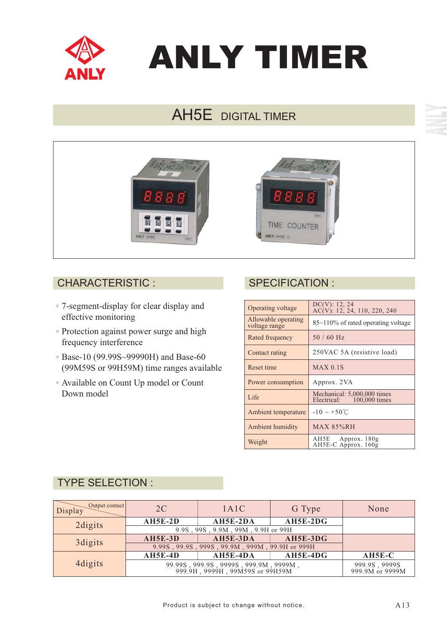

# ANLY TIMER

# AH5E DIGITAL TIMER



### CHARACTERISTIC : SPECIFICATION :

- 7-segment-display for clear display and effective monitoring
- Protection against power surge and high frequency interference
- Base-10 (99.99S~99990H) and Base-60 (99M59S or 99H59M) time ranges available
- Available on Count Up model or Count Down model

| Operating voltage                    | DC(V): 12, 24<br>$AC(V)$ : 12, 24, 110, 220, 240         |  |  |
|--------------------------------------|----------------------------------------------------------|--|--|
| Allowable operating<br>voltage range | $85\text{-}110\%$ of rated operating voltage             |  |  |
| Rated frequency                      | $50/60$ Hz                                               |  |  |
| Contact rating                       | 250VAC 5A (resistive load)                               |  |  |
| Reset time                           | $MAX$ 0.1S                                               |  |  |
| Power consumption                    | Approx. 2VA                                              |  |  |
| Life                                 | Mechanical: 5,000,000 times<br>Electrical: 100,000 times |  |  |
| Ambient temperature                  | $-10 \sim +50^{\circ}$ C                                 |  |  |
| <b>Ambient humidity</b>              | <b>MAX 85%RH</b>                                         |  |  |
| Weight                               | AH5E Approx. 180g<br>AH5E-C Approx. 160g                 |  |  |

# TYPE SELECTION :

| Output contact<br>Display | 2C                                                                                             | 1A1C       | G Type     | None                             |
|---------------------------|------------------------------------------------------------------------------------------------|------------|------------|----------------------------------|
| 2 digits                  | <b>AH5E-2D</b>                                                                                 | AH5E-2DA   | $AH5E-2DG$ |                                  |
|                           | 9.9S, 99S, 9.9M, 99M, 9.9H or 99H                                                              |            |            |                                  |
| 3 digits                  | $AH5E-3D$                                                                                      | AH5E-3DA   | $AH5E-3DG$ |                                  |
|                           | 9.99S, 99.9S, 999S, 99.9M, 999M, 99.9H or 999H                                                 |            |            |                                  |
| 4 digits                  | $AH5E-4D$                                                                                      | $AH5E-4DA$ | $AH5E-4DG$ | $AH5E-C$                         |
|                           | $99.99\$ , $999.9\$ , $9999\$ , $999.9M$ , $9999M$ , $999.9H$ , $9999H$ , $99M59S$ or $99H59M$ |            |            | 999.9S, 9999S<br>999.9M or 9999M |